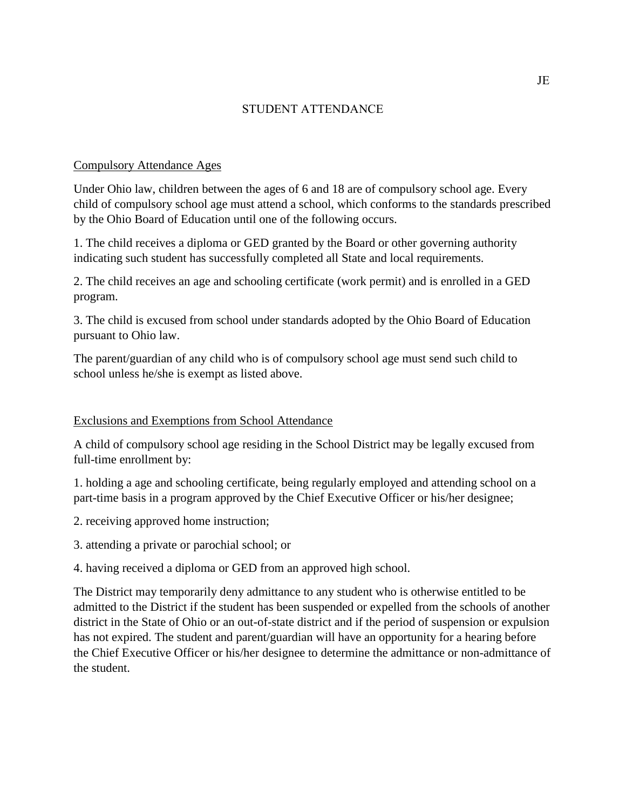# STUDENT ATTENDANCE

#### Compulsory Attendance Ages

Under Ohio law, children between the ages of 6 and 18 are of compulsory school age. Every child of compulsory school age must attend a school, which conforms to the standards prescribed by the Ohio Board of Education until one of the following occurs.

1. The child receives a diploma or GED granted by the Board or other governing authority indicating such student has successfully completed all State and local requirements.

2. The child receives an age and schooling certificate (work permit) and is enrolled in a GED program.

3. The child is excused from school under standards adopted by the Ohio Board of Education pursuant to Ohio law.

The parent/guardian of any child who is of compulsory school age must send such child to school unless he/she is exempt as listed above.

## Exclusions and Exemptions from School Attendance

A child of compulsory school age residing in the School District may be legally excused from full-time enrollment by:

1. holding a age and schooling certificate, being regularly employed and attending school on a part-time basis in a program approved by the Chief Executive Officer or his/her designee;

2. receiving approved home instruction;

3. attending a private or parochial school; or

4. having received a diploma or GED from an approved high school.

The District may temporarily deny admittance to any student who is otherwise entitled to be admitted to the District if the student has been suspended or expelled from the schools of another district in the State of Ohio or an out-of-state district and if the period of suspension or expulsion has not expired. The student and parent/guardian will have an opportunity for a hearing before the Chief Executive Officer or his/her designee to determine the admittance or non-admittance of the student.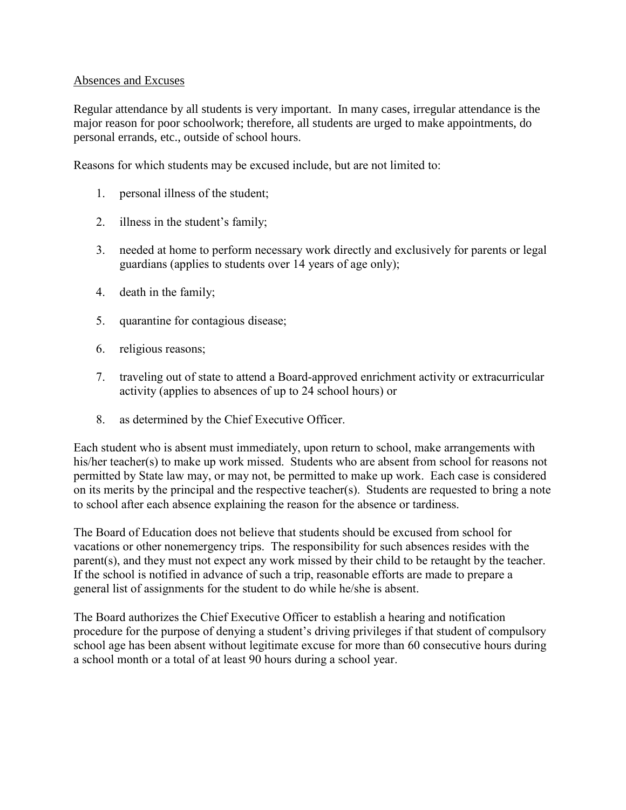## Absences and Excuses

Regular attendance by all students is very important. In many cases, irregular attendance is the major reason for poor schoolwork; therefore, all students are urged to make appointments, do personal errands, etc., outside of school hours.

Reasons for which students may be excused include, but are not limited to:

- 1. personal illness of the student;
- 2. illness in the student's family;
- 3. needed at home to perform necessary work directly and exclusively for parents or legal guardians (applies to students over 14 years of age only);
- 4. death in the family;
- 5. quarantine for contagious disease;
- 6. religious reasons;
- 7. traveling out of state to attend a Board-approved enrichment activity or extracurricular activity (applies to absences of up to 24 school hours) or
- 8. as determined by the Chief Executive Officer.

Each student who is absent must immediately, upon return to school, make arrangements with his/her teacher(s) to make up work missed. Students who are absent from school for reasons not permitted by State law may, or may not, be permitted to make up work. Each case is considered on its merits by the principal and the respective teacher(s). Students are requested to bring a note to school after each absence explaining the reason for the absence or tardiness.

The Board of Education does not believe that students should be excused from school for vacations or other nonemergency trips. The responsibility for such absences resides with the parent(s), and they must not expect any work missed by their child to be retaught by the teacher. If the school is notified in advance of such a trip, reasonable efforts are made to prepare a general list of assignments for the student to do while he/she is absent.

The Board authorizes the Chief Executive Officer to establish a hearing and notification procedure for the purpose of denying a student's driving privileges if that student of compulsory school age has been absent without legitimate excuse for more than 60 consecutive hours during a school month or a total of at least 90 hours during a school year.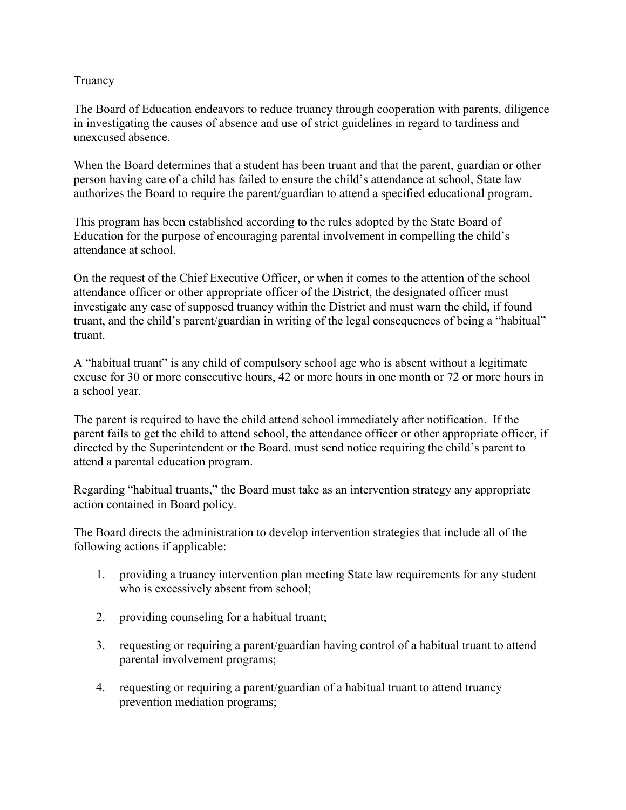# **Truancy**

The Board of Education endeavors to reduce truancy through cooperation with parents, diligence in investigating the causes of absence and use of strict guidelines in regard to tardiness and unexcused absence.

When the Board determines that a student has been truant and that the parent, guardian or other person having care of a child has failed to ensure the child's attendance at school, State law authorizes the Board to require the parent/guardian to attend a specified educational program.

This program has been established according to the rules adopted by the State Board of Education for the purpose of encouraging parental involvement in compelling the child's attendance at school.

On the request of the Chief Executive Officer, or when it comes to the attention of the school attendance officer or other appropriate officer of the District, the designated officer must investigate any case of supposed truancy within the District and must warn the child, if found truant, and the child's parent/guardian in writing of the legal consequences of being a "habitual" truant.

A "habitual truant" is any child of compulsory school age who is absent without a legitimate excuse for 30 or more consecutive hours, 42 or more hours in one month or 72 or more hours in a school year.

The parent is required to have the child attend school immediately after notification. If the parent fails to get the child to attend school, the attendance officer or other appropriate officer, if directed by the Superintendent or the Board, must send notice requiring the child's parent to attend a parental education program.

Regarding "habitual truants," the Board must take as an intervention strategy any appropriate action contained in Board policy.

The Board directs the administration to develop intervention strategies that include all of the following actions if applicable:

- 1. providing a truancy intervention plan meeting State law requirements for any student who is excessively absent from school;
- 2. providing counseling for a habitual truant;
- 3. requesting or requiring a parent/guardian having control of a habitual truant to attend parental involvement programs;
- 4. requesting or requiring a parent/guardian of a habitual truant to attend truancy prevention mediation programs;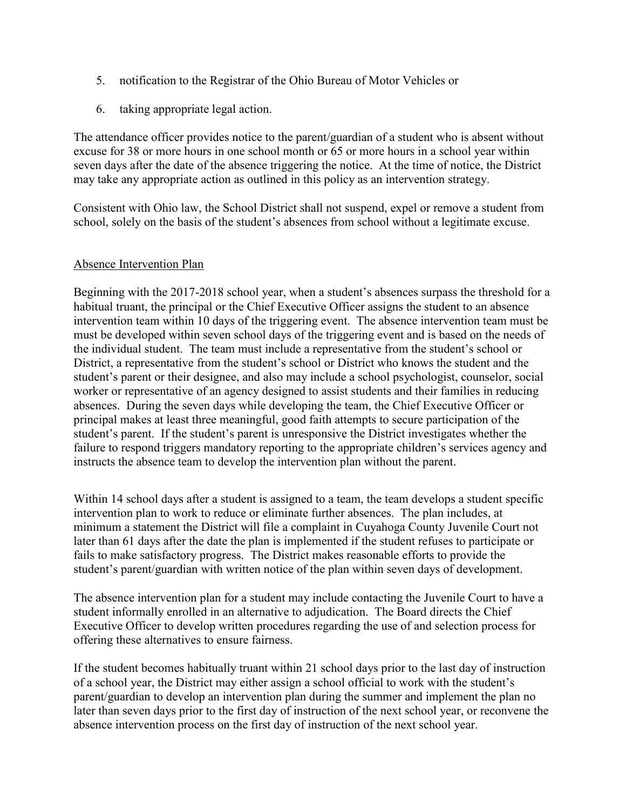- 5. notification to the Registrar of the Ohio Bureau of Motor Vehicles or
- 6. taking appropriate legal action.

The attendance officer provides notice to the parent/guardian of a student who is absent without excuse for 38 or more hours in one school month or 65 or more hours in a school year within seven days after the date of the absence triggering the notice. At the time of notice, the District may take any appropriate action as outlined in this policy as an intervention strategy.

Consistent with Ohio law, the School District shall not suspend, expel or remove a student from school, solely on the basis of the student's absences from school without a legitimate excuse.

## Absence Intervention Plan

Beginning with the 2017-2018 school year, when a student's absences surpass the threshold for a habitual truant, the principal or the Chief Executive Officer assigns the student to an absence intervention team within 10 days of the triggering event. The absence intervention team must be must be developed within seven school days of the triggering event and is based on the needs of the individual student. The team must include a representative from the student's school or District, a representative from the student's school or District who knows the student and the student's parent or their designee, and also may include a school psychologist, counselor, social worker or representative of an agency designed to assist students and their families in reducing absences. During the seven days while developing the team, the Chief Executive Officer or principal makes at least three meaningful, good faith attempts to secure participation of the student's parent. If the student's parent is unresponsive the District investigates whether the failure to respond triggers mandatory reporting to the appropriate children's services agency and instructs the absence team to develop the intervention plan without the parent.

Within 14 school days after a student is assigned to a team, the team develops a student specific intervention plan to work to reduce or eliminate further absences. The plan includes, at minimum a statement the District will file a complaint in Cuyahoga County Juvenile Court not later than 61 days after the date the plan is implemented if the student refuses to participate or fails to make satisfactory progress. The District makes reasonable efforts to provide the student's parent/guardian with written notice of the plan within seven days of development.

The absence intervention plan for a student may include contacting the Juvenile Court to have a student informally enrolled in an alternative to adjudication. The Board directs the Chief Executive Officer to develop written procedures regarding the use of and selection process for offering these alternatives to ensure fairness.

If the student becomes habitually truant within 21 school days prior to the last day of instruction of a school year, the District may either assign a school official to work with the student's parent/guardian to develop an intervention plan during the summer and implement the plan no later than seven days prior to the first day of instruction of the next school year, or reconvene the absence intervention process on the first day of instruction of the next school year.